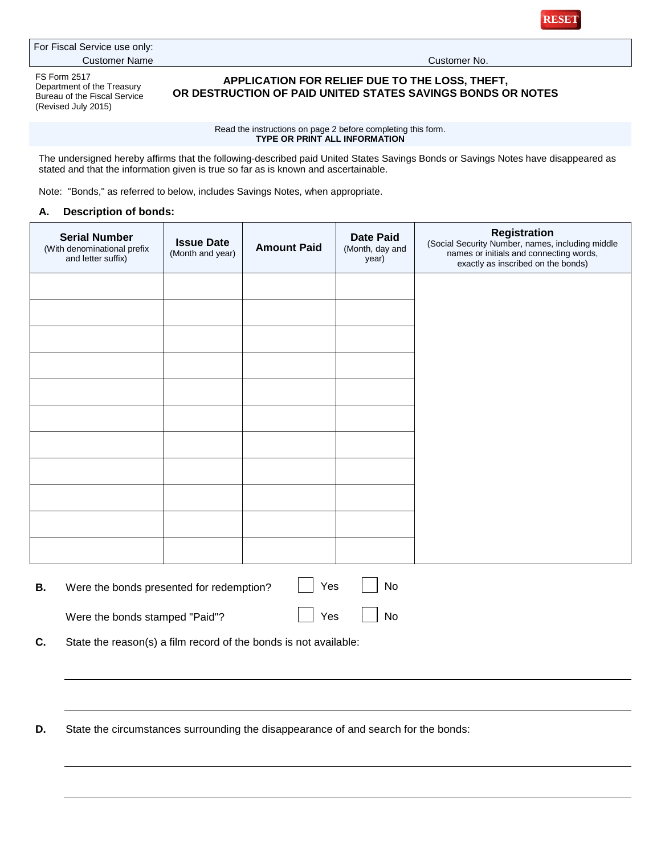

For Fiscal Service use only: Customer Name Customer No.

FS Form 2517 Department of the Treasury Bureau of the Fiscal Service (Revised July 2015)

## **APPLICATION FOR RELIEF DUE TO THE LOSS, THEFT, OR DESTRUCTION OF PAID UNITED STATES SAVINGS BONDS OR NOTES**

## Read the instructions on page 2 before completing this form. **TYPE OR PRINT ALL INFORMATION**

The undersigned hereby affirms that the following-described paid United States Savings Bonds or Savings Notes have disappeared as stated and that the information given is true so far as is known and ascertainable.

Note: "Bonds," as referred to below, includes Savings Notes, when appropriate.

## **A. Description of bonds:**

| <b>Serial Number</b><br>(With denominational prefix<br>and letter suffix) | <b>Issue Date</b><br>(Month and year) | <b>Amount Paid</b> | <b>Date Paid</b><br>(Month, day and<br>year) | Registration<br>(Social Security Number, names, including middle<br>names or initials and connecting words,<br>exactly as inscribed on the bonds) |
|---------------------------------------------------------------------------|---------------------------------------|--------------------|----------------------------------------------|---------------------------------------------------------------------------------------------------------------------------------------------------|
|                                                                           |                                       |                    |                                              |                                                                                                                                                   |
|                                                                           |                                       |                    |                                              |                                                                                                                                                   |
|                                                                           |                                       |                    |                                              |                                                                                                                                                   |
|                                                                           |                                       |                    |                                              |                                                                                                                                                   |
|                                                                           |                                       |                    |                                              |                                                                                                                                                   |
|                                                                           |                                       |                    |                                              |                                                                                                                                                   |
|                                                                           |                                       |                    |                                              |                                                                                                                                                   |
|                                                                           |                                       |                    |                                              |                                                                                                                                                   |
|                                                                           |                                       |                    |                                              |                                                                                                                                                   |
|                                                                           |                                       |                    |                                              |                                                                                                                                                   |
|                                                                           |                                       |                    |                                              |                                                                                                                                                   |
|                                                                           |                                       |                    |                                              |                                                                                                                                                   |

| Were the bonds presented for redemption? | │ │ Yes   | No |
|------------------------------------------|-----------|----|
| Were the bonds stamped "Paid"?           | No Res No |    |

**C.** State the reason(s) a film record of the bonds is not available:

**D.** State the circumstances surrounding the disappearance of and search for the bonds: